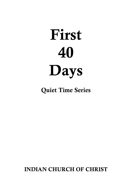# First 40 Days

Quiet Time Series

INDIAN CHURCH OF CHRIST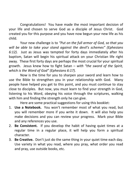Congratulations! You have made the most important decision of your life and chosen to serve God as a disciple of Jesus Christ. God created you for this purpose and you have now begun your new life as his child.

Your new challenge is to "Put on the full armor of God, so that you will be able to take your stand against the devil's schemes" (Ephesians 6:12). Just as Jesus was tempted for forty days immediately after his baptism, Satan will begin his spiritual attack on your Christian life right away. These first forty days are perhaps the most crucial for your spiritual growth. Jesus knew how to fight Satan – with "the sword of the Spirit, *which is the Word of God" (Ephesians 6:17).* 

Now is the time for you to sharpen your sword and learn how to use the Bible to strengthen you in your relationship with God. Many people have helped you get to this point, and you must continue to stay close to disciples. But now, you must learn to find your strength in God, listening to his Word, obeying his voice through the scriptures, walking with him and finding the strength only he can give.

Here are some practical suggestions for using this booklet:

- 1. **Use a Notebook.** You won't remember most of what you read, but you will remember more if you write it down. It will also help you make decisions and you can review your progress. Mark your Bible and any references you use.
- 2. **Be Consistent.** If you develop the habit of having quiet times at a regular time in a regular place, it will help you form a spiritual character.
- 3. **Be Creative.** Don't just do the same thing in your quiet time each day. Use variety in what you read, where you pray, what order you read and pray, use outside books, etc.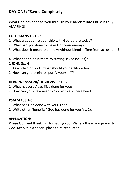# **DAY ONE: "Saved Completely"**

What God has done for you through your baptism into Christ is truly AMAZING! 

## **COLOSSIANS 1:21-23**

- 1. What was your relationship with God before today?
- 2. What had you done to make God your enemy?
- 3. What does it mean to be holy/without blemish/free from accusation?
- 4. What condition is there to staying saved (vs. 23)?

## **1 JOHN 3:1-4**

- 1. As a "child of God", what should your attitude be?
- 2. How can you begin to "purify yourself"?

## **HEBREWS 9:24-28/ HEBREWS 10:19-23**

- 1. What has Jesus' sacrifice done for you?
- 2. How can you draw near to God with a sincere heart?

## **PSALM 103:1-5**

- 1. What has God done with your sins?
- 2. Write other "benefits" God has done for you (vs. 2).

## **APPLICATION**:

Praise God and thank him for saving you! Write a thank you prayer to God. Keep it in a special place to re-read later.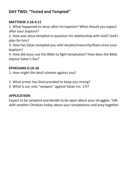# **DAY TWO: "Tested and Tempted"**

## **MATTHEW 3:16-4:11**

1. What happened to Jesus after his baptism? What should you expect after your baptism?

2. How was Jesus tempted to question his relationship with God? God's plan for him?

3. How has Satan tempted you with doubts/insecurity/fears since your baptism? 

4. How did Jesus use the Bible to fight temptation? How does the Bible expose Satan's lies?

## **EPHESIANS 6:10-18**

1. How might the devil scheme against you?

- 2. What armor has God provided to keep you strong?
- 3. What is our only "weapon" against Satan (vs. 17)?

## **APPLICATION**:

Expect to be tempted and decide to be open about your struggles. Talk with another Christian today about your temptations and pray together.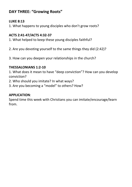# **DAY THREE: "Growing Roots"**

## **LUKE 8:13**

1. What happens to young disciples who don't grow roots?

## **ACTS 2:41-47/ACTS 4:32-37**

1. What helped to keep these young disciples faithful?

- 2. Are you devoting yourself to the same things they did (2:42)?
- 3. How can you deepen your relationships in the church?

## **THESSALONIANS 1:2-10**

1. What does it mean to have "deep conviction"? How can you develop conviction? 

- 2. Who should you imitate? In what ways?
- 3. Are you becoming a "model" to others? How?

## **APPLICATION**:

Spend time this week with Christians you can imitate/encourage/learn from.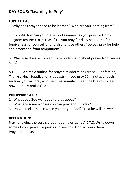# **DAY FOUR: "Learning to Pray"**

## **LUKE 11:1-13**

1. Why does prayer need to be learned? Who are you learning from?

2. (vs. 2-4) How can you praise God's name? Do you pray for God's kingdom (church) to increase? Do you pray for daily needs and for forgiveness for vourself and to also forgive others? Do you pray for help and protection from temptations?

3. What else does Jesus want us to understand about prayer from verses 5-13? 

A.C.T.S. - a simple outline for prayer is: Adoration (praise), Confession, Thanksgiving, Supplication (requests). If you pray 10 minutes of each section, you will pray a powerful 40 minutes! Read the Psalms to learn how to really praise God.

## **PHILIPPIANS 4:6-7**

- 1. What does God want you to pray about?
- 2. What are some worries you can pray about today?
- 3. Do vou feel at peace when you pray to God? Trust he will answer!

## **APPLICATION:**

Pray following the Lord's prayer outline or using A.C.T.S. Write down some of your prayer requests and see how God answers them. Prayer Requests: The contract of the contract of the contract of the contract of the contract of the contract of the contract of the contract of the contract of the contract of the contract of the contract of the contract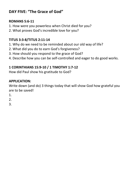# DAY FIVE: "The Grace of God"

## **ROMANS 5:6-11**

- 1. How were you powerless when Christ died for you?
- 2. What proves God's incredible love for you?

## **TITUS 3:3-8/TITUS 2:11-14**

- 1. Why do we need to be reminded about our old way of life?
- 2. What did you do to earn God's forgiveness?
- 3. How should you respond to the grace of God?
- 4. Describe how you can be self-controlled and eager to do good works.

# **1 CORINTHIANS 15:9-10 / 1 TIMOTHY 1:7-12**

How did Paul show his gratitude to God?

## **APPLICATION:**

Write down (and do) 3 things today that will show God how grateful you are to be saved!

- 1.
- 2.
- 3.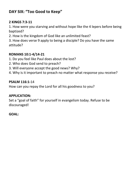# **DAY SIX: "Too Good to Keep"**

## **2 KINGS 7:3-11**

1. How were you starving and without hope like the 4 lepers before being baptized? 

2. How is the kingdom of God like an unlimited feast?

3. How does verse 9 apply to being a disciple? Do you have the same attitude? 

## **ROMANS 10:1-4/14-21**

- 1. Do you feel like Paul does about the lost?
- 2. Who does God send to preach?
- 3. Will everyone accept the good news? Why?
- 4. Why is it important to preach no matter what response you receive?

## **PSALM 116:1-**14

How can you repay the Lord for all his goodness to you?

## **APPLICATION:**

Set a "goal of faith" for yourself in evangelism today. Refuse to be discouraged! 

## GOAL: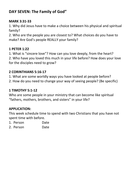# **DAY SEVEN: The Family of God"**

## **MARK 3:31-33**

1. Why did Jesus have to make a choice between his physical and spiritual family?

2. Who are the people you are closest to? What choices do you have to make? Are God's people REALLY your family?

## **1 PETER 1:22**

1. What is "sincere love"? How can you love deeply, from the heart? 2. Who have you loved this much in your life before? How does your love for the disciples need to grow?

## **2 CORINTHIANS 5:16-17**

- 1. What are some worldly ways you have looked at people before?
- 2. How do you need to change your way of seeing people? (Be specific)

## **1 TIMOTHY 5:1-12**

Who are some people in your ministry that can become like spiritual "fathers, mothers, brothers, and sisters" in your life?

## **APPLICATION:**

This week schedule time to spend with two Christians that you have not spent time with before.

- 1. Person Date
- 2. Person Date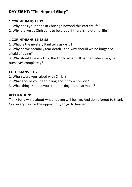# **DAY EIGHT: "The Hope of Glory"**

## **1 CORINTHIANS 15:19**

- 1. Why does your hope in Christ go beyond this earthly life?
- 2. Why are we as Christians to be pitied if there is no eternal life?

## **1 CORINTHIANS 15:42-58**

1. What is the mystery Paul tells us (ys.51)?

2. Why do we normally fear death - and why should we no longer be afraid of dying?

3. Why should we work for the Lord? What will happen when we give ourselves completely?

## **COLOSSIANS 3:1-4**

- 1. When were you raised with Christ?
- 2. What should you be thinking about from now on?
- 3. What things should you stop thinking about so much?

## **APPLICATION:**

Think for a while about what heaven will be like. And don't forget to thank God every day for the opportunity to go to heaven!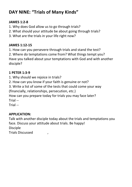# **DAY NINE: "Trials of Many Kinds"**

## **JAMES 1:2-8**

- 1. Why does God allow us to go through trials?
- 2. What should your attitude be about going through trials?
- 3. What are the trials in your life right now?

## **JAMES 1:12-15**

1. How can you persevere through trials and stand the test?

2. Where do temptations come from? What things tempt you? Have you talked about your temptations with God and with another disciple? 

# **1 PETER 1:3-9**

- 1. Why should we rejoice in trials?
- 2. How can you know if your faith is genuine or not?
- 3. Write a list of some of the tests that could come your way (financially, relationships, persecution, etc.)

How can you prepare today for trials you may face later? Trial --

Trial --

# **APPLICATION:**

Talk with another disciple today about the trials and temptations you face. Discuss your attitude about trials. Be happy! Disciple 

Trials Discussed  $\qquad \qquad$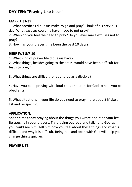# **DAY TEN: "Praying Like Jesus"**

## **MARK 1:32-39**

1. What sacrifices did Jesus make to go and pray? Think of his previous day. What excuses could he have made to not pray?

2. When do you feel the need to pray? Do you ever make excuses not to pray? 

3. How has your prayer time been the past 10 days?

## **HEBREWS 5:7-10**

1. What kind of prayer life did Jesus have?

2. What things, besides going to the cross, would have been difficult for Jesus to obey?

3. What things are difficult for you to do as a disciple?

4. Have you been praying with loud cries and tears for God to help you be obedient? 

5. What situations in your life do you need to pray more about? Make a list and be specific.

## **APPLICATION:**

Spend time today praying about the things you wrote about on your list. Be specific in your prayers. Try praying out loud and talking to God as if you could see him. Tell him how you feel about these things and what is difficult and why it is difficult. Being real and open with God will help you change things quicker.

## **PRAYER LIST:** The contract of the contract of the contract of the contract of the contract of the contract of the contract of the contract of the contract of the contract of the contract of the contract of the contract of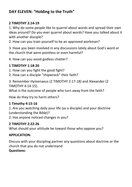# **DAY ELEVEN: "Holding to the Truth"**

## **2 TIMOTHY 2:14-19**

1. Why do some people like to quarrel about words and spread their own ideas around? Do you ever quarrel about words? Have you talked about it with another disciple?

2. How can you train yourself to be an approved workman?

3. Have you been involved in any discussions lately about God's word or the church that were pointless or even harmful?

4. How can you avoid godless chatter?

## **1 TIMOTHY 1:18-20**

- 1. How can you fight the good fight?
- 2. How can a disciple "shipwreck" their faith?

3. Remember Hymenaeus (2 TIMOTHY 2:17-18) and Alexander (2 TIMOTHY 4:14-15). 

What is the outcome of people who turn away from the faith?

How do they try to harm others?

## **1 Timothy 4:15-16**

1. Are you watching daily your life (as a disciple) and your doctrine (understanding the Bible)?

2. Has anyone noticed changes in you?

## **2 TIMOTHY 2:22-26**

What should your attitude be toward those who oppose you?

## **APPLICATION:**

Discuss with your discipling partner any questions about doctrine or the church that you do not understand **Questions:**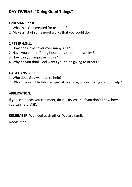# **DAY TWELVE: "Doing Good Things"**

## **EPHESIANS 2:10**

- 1. What has God created for us to do?
- 2. Make a list of some good works that you could do.

## **1 PETER 4:8-11**

- 1. How does love cover over many sins?
- 2. Have you been offering hospitality to other disciples?
- 3. How can you improve in this?
- 4. Why do you think God wants you to be giving to others?

#### **GALATIANS 6:9-10**

- 1. Who does God want us to help?
- 2. Who in your Bible talk has special needs right now that you could help?

## **APPLICATION:**

If you see needs you can meet, do it THIS WEEK. If you don't know how you can help, ASK.

**REMEMBER:** We need each other. We are family.

Needs Met :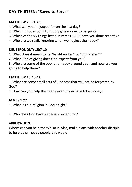# DAY THIRTFFN: "Saved to Serve"

## **MATTHEW 25:31-46**

- 1. What will you be judged for on the last day?
- 2. Why is it not enough to simply give money to beggars?
- 3. Which of the six things listed in verses 35-36 have you done recently?
- 4. Who are we really ignoring when we neglect the needy?

## **DEUTERONOMY 15:7-10**

1. What does it mean to be "hard-hearted" or "tight-fisted"?

2. What kind of giving does God expect from you?

3. Who are some of the poor and needy around you - and how are you going to help them?

## **MATTHEW 10:40-42**

1. What are some small acts of kindness that will not be forgotten by God?

2. How can you help the needy even if you have little money?

## **JAMES 1:27**

1. What is true religion in God's sight?

2. Who does God have a special concern for?

## **APPLICATION:**

Whom can you help today? Do it. Also, make plans with another disciple to help other needy people this week.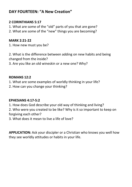# DAY FOURTFFN: "A New Creation"

## 2 CORINTHIANS 5:17

- 1. What are some of the "old" parts of you that are gone?
- 2. What are some of the "new" things vou are becoming?

## **MARK 2:21-22**

1. How new must you be?

2. What is the difference between adding on new habits and being changed from the inside?

3. Are you like an old wineskin or a new one? Why?

## ROMANS 12:2

- 1. What are some examples of worldly thinking in your life?
- 2. How can you change your thinking?

## **EPHESIANS 4:17-5:2**

1. How does God describe your old way of thinking and living?

2. Who were you created to be like? Why is it so important to keep on forgiving each other?

3. What does it mean to live a life of love?

APPLICATION: Ask your discipler or a Christian who knows you well how they see worldly attitudes or habits in your life.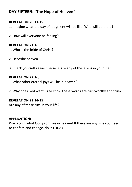# DAY FIFTEEN: "The Hope of Heaven"

## **REVELATION 20:11-15**

1. Imagine what the day of judgment will be like. Who will be there?

2. How will everyone be feeling?

#### **REVELATION 21:1-8**

- 1. Who is the bride of Christ?
- 2. Describe heaven.
- 3. Check yourself against verse 8. Are any of these sins in your life?

#### **REVELATION 22:1-6**

- 1. What other eternal joys will be in heaven?
- 2. Why does God want us to know these words are trustworthy and true?

#### **REVELATION 22:14-15**

Are any of these sins in your life?

#### **APPLICATION:**

Pray about what God promises in heaven! If there are any sins you need to confess and change, do it TODAY!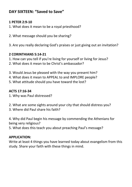# **DAY SIXTEEN: "Saved to Save"**

## **1 PETER 2:9-10**

- 1. What does it mean to be a royal priesthood?
- 2. What message should you be sharing?
- 3. Are you really declaring God's praises or just giving out an invitation?

## **2 CORINTHIANS 5:14-21**

- 1. How can you tell if you're living for yourself or living for Jesus?
- 2. What does it mean to be Christ's ambassador?
- 3. Would Jesus be pleased with the way you present him?
- 4. What does it mean to APPEAL to and IMPLORE people?
- 5. What attitude should you have toward the lost?

## **ACTS 17:16-34**

- 1. Why was Paul distressed?
- 2. What are some sights around your city that should distress you?
- 3. Where did Paul share his faith?
- 4. Why did Paul begin his message by commending the Athenians for being very religious?
- 5. What does this teach you about preaching Paul's message?

## **APPLICATION:**

Write at least 4 things you have learned today about evangelism from this study. Share your faith with these things in mind.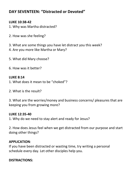# **DAY SEVENTEEN: "Distracted or Devoted"**

## **LUKE 10:38-42**

- 1. Why was Martha distracted?
- 2. How was she feeling?
- 3. What are some things you have let distract you this week?
- 4. Are you more like Martha or Mary?
- 5. What did Mary choose?
- 6. How was it better?

## **LUKE 8:14**

- 1. What does it mean to be "choked"?
- 2. What is the result?

3. What are the worries/money and business concerns/ pleasures that are keeping you from growing more?

## **LUKE 12:35-40**

1. Why do we need to stay alert and ready for Jesus?

2. How does Jesus feel when we get distracted from our purpose and start doing other things?

## **APPLICATION**:

If you have been distracted or wasting time, try writing a personal schedule every day. Let other disciples help you.

## **DISTRACTIONS:**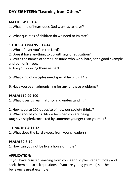# **DAY EIGHTEEN: "Learning from Others"**

## **MATTHEW 18:1-4**

1. What kind of heart does God want us to have?

2. What qualities of children do we need to imitate?

## **1 THESSALONIANS 5:12-14**

- 1. Who is "over you" in the Lord?
- 2. Does it have anything to do with age or education?

3. Write the names of some Christians who work hard, set a good example and admonish vou.

4. Are you showing them respect?

5. What kind of disciples need special help (vs. 14)?

6. Have you been admonishing for any of these problems?

## **PSALM 119:99-100**

1. What gives us real maturity and understanding?

2. How is verse 100 opposite of how our society thinks?

3. What should your attitude be when you are being taught/discipled/corrected by someone younger than yourself?

## **1 TIMOTHY 4:11-12**

1. What does the Lord expect from young leaders?

## **PSALM 32:8-10**

1. How can you not be like a horse or mule?

## **APPLICATION:**

If you have resisted learning from younger disciples, repent today and seek them out to ask questions. If you are young yourself, set the believers a great example!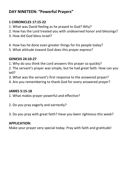# **DAY NINETEEN: "Powerful Prayers"**

## **1 CHRONICLES 17:15-22**

- 1. What was David feeling as he praved to God? Whv?
- 2. How has the Lord treated you with undeserved honor and blessings?
- 3. How did God bless Israel?
- 4. How has he done even greater things for his people today?
- 5. What attitude toward God does this prayer express?

## **GENESIS 24:10-27**

1. Why do you think the Lord answers this prayer so quickly?

2. The servant's prayer was simple, but he had great faith. How can you tell? 

- 3. What was the servant's first response to the answered prayer?
- 4. Are you remembering to thank God for every answered prayer?

## **JAMES 5:15-18**

- 1. What makes prayer powerful and effective?
- 2. Do you pray eagerly and earnestly?
- 3. Do you pray with great faith? Have you been righteous this week?

## **APPLICATION:**

Make your prayer very special today. Pray with faith and gratitude!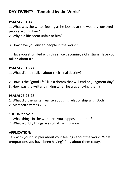# **DAY TWENTY: "Tempted by the World"**

#### **PSALM 73:1-14**

1. What was the writer feeling as he looked at the wealthy, unsaved people around him?

- 2. Why did life seem unfair to him?
- 3. How have you envied people in the world?

4. Have you struggled with this since becoming a Christian? Have you talked about it?

#### **PSALM 73:15-22**

1. What did he realize about their final destiny?

- 2. How is the "good life" like a dream that will end on judgment day?
- 3. How was the writer thinking when he was envying them?

## **PSALM 73:23-28**

- 1. What did the writer realize about his relationship with God?
- 2. Memorize verses 25-26.

## **1 JOHN 2:15-17**

- 1. What things in the world are you supposed to hate?
- 2. What worldly things are still attracting you?

## **APPLICATION:**

Talk with your discipler about your feelings about the world. What temptations you have been having? Pray about them today.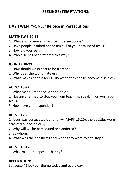# **FEELINGS/TEMPTATIONS:**

# **DAY TWENTY-ONE: "Rejoice in Persecutions"**

## **MATTHEW 5:10-11**

- 1. What should make us rejoice in persecutions?
- 2. Have people insulted or spoken evil of you because of Jesus?
- 3. How did you feel?
- 4. Who else has been treated this way?

## **JOHN 15:18-23**

- 1. How should we expect to be treated?
- 2. Why does the world hate us?
- 3. What makes people feel guilty when they see us become disciples?

## **ACTS 4:13-22**

- 1. What made Peter and John so bold?
- 2. Has anyone tried to stop you from teaching, speaking or worshipping Jesus?
- 3. How have you responded?

## **ACTS 5:17-29**

1. Jesus was persecuted out of envy (MARK 15:10); the apostles were arrested out of jealousy.

- 2. Why will we be persecuted or slandered?
- 3. By whom?
- 4. What was the apostles' reply when they were told to stop?

## **ACTS 5:40-42**

1. What made the apostles happy?

## **APPLICATION:**

Let verse 42 be your theme today and every day.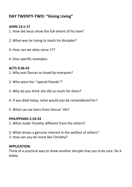# DAY TWENTY-TWO: "Giving Living"

## **IOHN 13:1-17**

- 1. How did Jesus show the full extent of his love?
- 2. What was he trying to teach his disciples?
- 3. How can we obey verse 17?
- 4. Give specific examples.

## ACTS 9:36-42

- 1. Why was Dorcas so loved by everyone?
- 2. Who were her "special friends"?
- 3. Why do you think she did so much for them?
- 4. If you died today, what would you be remembered for?
- 5. What can we learn from Dorcas' life?

## PHILIPPIANS 2:19-24

- 1. What made Timothy different from the others?
- 2. What shows a genuine interest in the welfare of others?
- 3. How can you be more like Timothy?

## **APPLICATION:**

Think of a practical way to show another disciple that you truly care. Do it todav.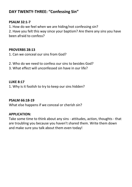# **DAY TWENTY-THREE: "Confessing Sin"**

#### **PSALM 32:1-7**

1. How do we feel when we are hiding/not confessing sin?

2. Have you felt this way since your baptism? Are there any sins you have been afraid to confess?

#### **PROVERBS 28:13**

- 1. Can we conceal our sins from God?
- 2. Who do we need to confess our sins to besides God?
- 3. What effect will unconfessed sin have in our life?

#### **LUKE 8:17**

1. Why is it foolish to try to keep our sins hidden?

## **PSALM 66:18-19**

What else happens if we conceal or cherish sin?

## **APPLICATION:**

Take some time to think about any sins - attitudes, action, thoughts - that are troubling you because you haven't shared them. Write them down and make sure you talk about them even today!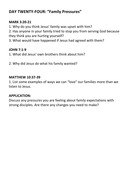# **DAY TWENTY-FOUR: "Family Pressures"**

## **MARK 3:20-21**

1. Why do you think Jesus' family was upset with him?

2. Has anyone in your family tried to stop you from serving God because they think you are hurting yourself?

3. What would have happened if Jesus had agreed with them?

#### **JOHN 7:1-9**

- 1. What did Jesus' own brothers think about him?
- 2. Why did Jesus do what his family wanted?

#### **MATTHEW 10:37-39**

1. List some examples of ways we can "love" our families more than we listen to Jesus.

## **APPLICATION:**

Discuss any pressures you are feeling about family expectations with strong disciples. Are there any changes you need to make?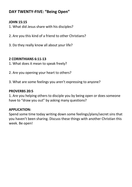# **DAY TWENTY-FIVE: "Being Open"**

## **JOHN 15:15**

- 1. What did Jesus share with his disciples?
- 2. Are you this kind of a friend to other Christians?
- 3. Do they really know all about your life?

## **2 CORINTHIANS 6:11-13**

- 1. What does it mean to speak freely?
- 2. Are you opening your heart to others?
- 3. What are some feelings you aren't expressing to anyone?

#### **PROVERBS 20:5**

1. Are you helping others to disciple you by being open or does someone have to "draw you out" by asking many questions?

## **APPLICATION:**

Spend some time today writing down some feelings/plans/secret sins that you haven't been sharing. Discuss these things with another Christian this week. Be open!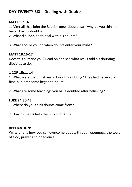# **DAY TWENTY-SIX: "Dealing with Doubts"**

## **MATT 11:1-6**

1. After all that John the Baptist knew about Jesus, why do you think he began having doubts?

2. What did John do to deal with his doubts?

3. What should you do when doubts enter your mind?

## **MATT 18:16-17**

Does this surprise you? Read on and see what Jesus told his doubting disciples to do.

## **1 COR 15:11-14**

1. What were the Christians in Corinth doubting? They had believed at first, but later some began to doubt.

2. What are some teachings you have doubted after believing?

## **LUKE 24:36-45**

1. Where do you think doubts come from?

2. How did Jesus help them to find faith?

## **APPLICATION**:

Write briefly how you can overcome doubts through openness, the word of God, prayer and obedience.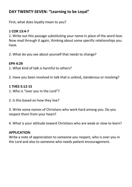# **DAY TWENTY-SEVEN: "Learning to be Loval"**

First, what does loyalty mean to you?

## **1 COR 13:4-7**

1. Write out this passage substituting your name in place of the word love. Now read through it again, thinking about some specific relationships you have. 

2. What do you see about yourself that needs to change?

## **EPH 4:29**

1. What kind of talk is harmful to others?

2. Have you been involved in talk that is unkind, slanderous or mocking?

## **1 THES 5:12-15**

- 1. Who is "over you in the Lord"?
- 2. Is this based on how they live?

3. Write some names of Christians who work hard among you. Do you respect them from your heart?

4. What is your attitude toward Christians who are weak or slow to learn?

## **APPLICATION**:

Write a note of appreciation to someone you respect, who is over you in the Lord and also to someone who needs patient encouragement.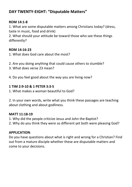# **DAY TWENTY-EIGHT: "Disputable Matters"**

## **ROM 14:1-8**

1. What are some disputable matters among Christians today? (dress, taste in music, food and drink)

2. What should your attitude be toward those who see these things differently? 

## **ROM 14:16-23**

- 1. What does God care about the most?
- 2. Are you doing anything that could cause others to stumble?
- 3. What does verse 23 mean?
- 4. Do you feel good about the way you are living now?

## **1 TIM 2:9-10 & 1 PETER 3:3-5**

1. What makes a woman beautiful to God?

2. In your own words, write what you think these passages are teaching about clothing and about godliness.

## **MATT 11:18-19**

1. Why did the people criticize Jesus and John the Baptist?

2. Why do you think they were so different yet both were pleasing God?

## **APPLICATION**:

Do you have questions about what is right and wrong for a Christian? Find out from a mature disciple whether these are disputable matters and come to your decisions.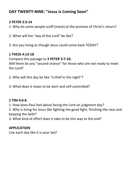# **DAY TWENTY-NINE: "Jesus is Coming Soon"**

## **2 PETER 3:3-14**

- 1. Why do some people scoff (mock) at the promise of Christ's return?
- 2. What will the "day of the Lord" be like?
- 3. Are you living as though Jesus could come back TODAY?

## **1 THESS 4:13-18**

Compare this passage to 2 PETER 3:7-10. Will there be any "second chance" for those who are not ready to meet the Lord?

- 2. Why will this day be like "a thief in the night"?
- 3. What does it mean to be alert and self-controlled?

## **2 TIM 4:6-8**

1. How does Paul feel about facing the Lord on judgment day?

2. Why is living for Jesus like fighting the good fight, finishing the race and keeping the faith?

3. What kind of effort does it take to be this way to the end?

## **APPLICATION**:

Live each day like it is your last!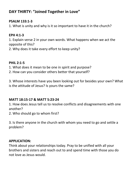# **DAY THIRTY: "Joined Together in Love"**

## **PSALM 133:1-3**

1. What is unity and why is it so important to have it in the church?

## **EPH 4:1-3**

1. Explain verse 2 in your own words. What happens when we act the opposite of this?

2. Why does it take every effort to keep unity?

## **PHIL 2:1-5**

1. What does it mean to be one in spirit and purpose?

2. How can you consider others better that yourself?

3. Whose interests have you been looking out for besides your own? What is the attitude of Jesus? Is yours the same?

## **MATT 18:15-17 & MATT 5:23-24**

1. How does Jesus tell us to resolve conflicts and disagreements with one another? 

2. Who should go to whom first?

3. Is there anyone in the church with whom you need to go and settle a problem? 

## **APPLICATION:**

Think about your relationships today. Pray to be unified with all your brothers and sisters and reach out to and spend time with those you do not love as Jesus would.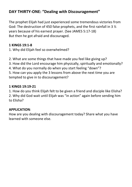# **DAY THIRTY-ONE: "Dealing with Discouragement"**

The prophet Elijah had just experienced some tremendous victories from God: The destruction of 450 false prophets, and the first rainfall in 3  $\frac{1}{2}$ years because of his earnest prayer. (See JAMES 5:17-18) But then he got afraid and discouraged.

## **1 KINGS 19:1-8**

1. Why did Elijah feel so overwhelmed?

2. What are some things that have made you feel like giving up?

3. How did the Lord encourage him physically, spiritually and emotionally?

4. What do you normally do when you start feeling "down"?

5. How can you apply the 3 lessons from above the next time you are tempted to give in to discouragement?

## **1 KINGS 19:19-21**

1. How do you think Elijah felt to be given a friend and disciple like Elisha?

2. Why did God wait until Elijah was "in action" again before sending him to Flisha?

## **APPLICATION**:

How are you dealing with discouragement today? Share what you have learned with someone else.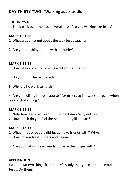# **DAY THIRTY-TWO: "Walking as Jesus did"**

#### **1 JOHN 2:5-6**

1. Think back over the past several days. Are you walking like Jesus?

#### **MARK 1:21-28**

- 1. What was different about the way Jesus taught?
- 2. Are you teaching others with authority?

#### **MARK 1:29-34**

- 1. How late do you think Jesus worked that night?
- 2. Do you think he felt tiered?
- 3. Why did he work so hard?

4. Are you willing to push yourself for others to know Jesus - even when it is very challenging?

#### **MARK 1:35-39**

- 1. Note how early Jesus got up the next day? Why did he?
- 2. How much do you feel the need to pray like Jesus?

## **MARK 2:13-17**

- 1. What kinds of people did Jesus make friends with? Why?
- 2. How do you treat sinners and pagans?
- 3. Are you making new friends to share the gospel with?

## **APPLICATION:**

Write down two things from today's study that you can do to imitate Jesus. Do them!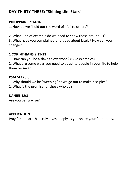# **DAY THIRTY-THREE: "Shining Like Stars"**

## **PHILIPPIANS 2:14-16**

1. How do we "hold out the word of life" to others?

2. What kind of example do we need to show those around us? 3. What have you complained or argued about lately? How can you change? 

## **1 CORINTHIANS 9:19-23**

1. How can you be a slave to everyone? (Give examples)

2. What are some ways you need to adapt to people in your life to help them be saved?

## **PSALM 126:6**

- 1. Why should we be "weeping" as we go out to make disciples?
- 2. What is the promise for those who do?

## **DANIEL 12:3**

Are you being wise?

## **APPLICATION:**

Pray for a heart that truly loves deeply as you share your faith today.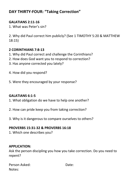# **DAY THIRTY-FOUR: "Taking Correction"**

## **GALATIANS 2:11-16**

1 What was Peter's sin?

2. Why did Paul correct him publicly? (See 1 TIMOTHY 5:20 & MATTHEW  $18:15$ 

## 2 CORINTHIANS 7:8-13

- 1. Why did Paul correct and challenge the Corinthians?
- 2. How does God want you to respond to correction?
- 3. Has anyone corrected you lately?
- 4. How did you respond?
- 5. Were they encouraged by your response?

## **GALATIANS 6:1-5**

- 1. What obligation do we have to help one another?
- 2. How can pride keep you from taking correction?
- 3. Why is it dangerous to compare ourselves to others?

## **PROVERBS 15:31-32 & PROVERBS 16:18**

1. Which one describes you?

## **APPLICATION:**

Ask the person discipling you how you take correction. Do you need to repent?

| Person Asked: | Date: |
|---------------|-------|
| Notes:        |       |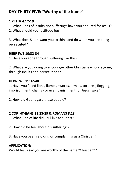# **DAY THIRTY-FIVE: "Worthy of the Name"**

## **1 PETER 4:12-19**

- 1. What kinds of insults and sufferings have vou endured for Jesus?
- 2. What should your attitude be?

3. What does Satan want you to think and do when you are being persecuted? 

## **HEBREWS 10:32-34**

1. Have you gone through suffering like this?

2. What are you doing to encourage other Christians who are going through insults and persecutions?

## **HEBREWS 11:32-40**

1. Have you faced lions, flames, swords, armies, tortures, flogging, imprisonment, chains - or even banishment for Jesus' sake?

2. How did God regard these people?

## **2 CORINTHIANS 11:23-29 & ROMANS 8:18**

- 1. What kind of life did Paul live for Christ?
- 2. How did he feel about his sufferings?
- 3. Have you been rejoicing or complaining as a Christian?

## **APPLICATION:**

Would Jesus say you are worthy of the name "Christian"?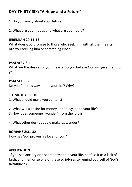# DAY THIRTY-SIX: "A Hope and a Future"

- 1. Do you worry about your future?
- 2. What are your hopes and what are your fears?

#### **JEREMIAH 29:11-13**

What does God promise to those who seek him with all their hearts? Are you seeking him or something else?

#### **PSALM 37:3-4**

What are the desires of your heart? Do you believe God will give them to vou?

#### **PSALM 16:5-8**

Do you feel this way about your life? Why?

#### 1 TIMOTHY 6.6-10

- 1. What should make you content?
- 2. What will a desire for money and things do to your life?
- 3. How does someone "wander" from the faith?
- 4. What other desires could make us wander?

#### **ROMANS 8:31-32**

How has God proven his love for you?

#### **APPLICATION:**

If you see anxiety or discontentment in your life, confess it as a lack of faith, and memorize one of these scriptures to remind yourself of God's faithfulness.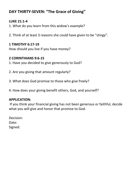# **DAY THIRTY-SEVEN: "The Grace of Giving"**

## **LUKE 21:1-4**

1. What do you learn from this widow's example?

2. Think of at least 3 reasons she could have given to be "stingy".

## **1 TIMOTHY 6:17-19**

How should you live if you have money?

## **2 CORINTHIANS 9:6-15**

- 1. Have you decided to give generously to God?
- 2. Are you giving that amount regularly?
- 3. What does God promise to those who give freely?
- 4. How does your giving benefit others, God, and yourself?

## **APPLICATION:**

If you think your financial giving has not been generous or faithful, decide what you will give and honor that promise to God.

Decision: Date: Signed: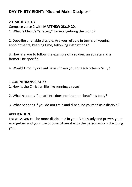# **DAY THIRTY-EIGHT: "Go and Make Disciples"**

## **2 TIMOTHY 2:1-7**

Compare verse 2 with **MATTHEW 28:19-20.** 

1. What is Christ's "strategy" for evangelizing the world?

2. Describe a reliable disciple. Are you reliable in terms of keeping appointments, keeping time, following instructions?

3. How are you to follow the example of a soldier, an athlete and a farmer? Be specific.

4. Would Timothy or Paul have chosen you to teach others? Why?

## **1 CORINTHIANS 9:24-27**

- 1. How is the Christian life like running a race?
- 2. What happens if an athlete does not train or "beat" his body?
- 3. What happens if you do not train and discipline yourself as a disciple?

## **APPLICATION:**

List ways you can be more disciplined in your Bible study and prayer, your evangelism and your use of time. Share it with the person who is discipling you.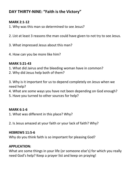# **DAY THIRTY-NINE: "Faith is the Victory"**

## **MARK 2:1-12**

- 1. Why was this man so determined to see Jesus?
- 2. List at least 3 reasons the man could have given to not try to see Jesus.
- 3. What impressed Jesus about this man?
- 4. How can you be more like him?

## **MARK 5:21-43**

- 1. What did Jairus and the bleeding woman have in common?
- 2. Why did Jesus help both of them?

3. Why is it important for us to depend completely on Jesus when we need help? 

- 4. What are some ways you have not been depending on God enough?
- 5. Have you turned to other sources for help?

#### **MARK 6:1-6**

- 1. What was different in this place? Why?
- 2. Is Jesus amazed at your faith or your lack of faith? Why?

#### **HEBREWS 11:5-6**

Why do you think faith is so important for pleasing God?

## **APPLICATION:**

What are some things in your life (or someone else's) for which you really need God's help? Keep a prayer list and keep on praying!